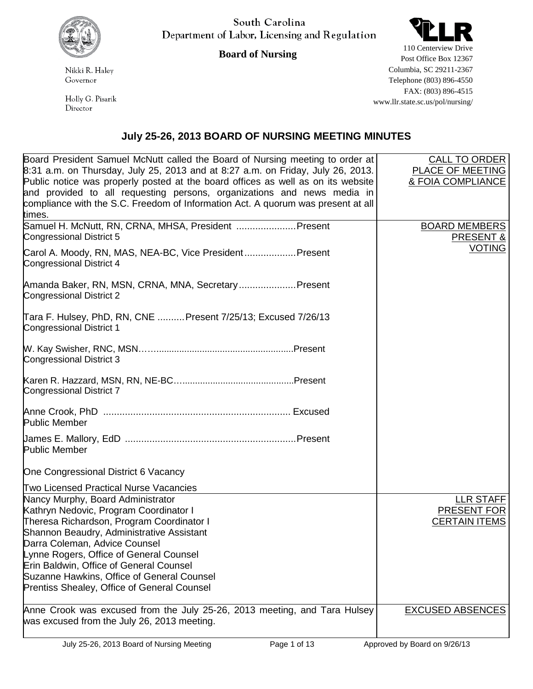

South Carolina Department of Labor, Licensing and Regulation



**Board of Nursing**

Nikki R. Haley Governor

Holly G. Pisarik Director

110 Centerview Drive Post Office Box 12367 Columbia, SC 29211-2367 Telephone (803) 896-4550 FAX: (803) 896-4515 www.llr.state.sc.us/pol/nursing/

## **July 25-26, 2013 BOARD OF NURSING MEETING MINUTES**

| Board President Samuel McNutt called the Board of Nursing meeting to order at<br>8:31 a.m. on Thursday, July 25, 2013 and at 8:27 a.m. on Friday, July 26, 2013.<br>Public notice was properly posted at the board offices as well as on its website<br>and provided to all requesting persons, organizations and news media in<br>compliance with the S.C. Freedom of Information Act. A quorum was present at all<br>times.              | <b>CALL TO ORDER</b><br>PLACE OF MEETING<br>& FOIA COMPLIANCE |
|--------------------------------------------------------------------------------------------------------------------------------------------------------------------------------------------------------------------------------------------------------------------------------------------------------------------------------------------------------------------------------------------------------------------------------------------|---------------------------------------------------------------|
| Samuel H. McNutt, RN, CRNA, MHSA, President  Present<br>Congressional District 5                                                                                                                                                                                                                                                                                                                                                           | <b>BOARD MEMBERS</b><br><b>PRESENT &amp;</b>                  |
| Carol A. Moody, RN, MAS, NEA-BC, Vice President Present<br>Congressional District 4                                                                                                                                                                                                                                                                                                                                                        | <b>VOTING</b>                                                 |
| Amanda Baker, RN, MSN, CRNA, MNA, Secretary Present<br>Congressional District 2                                                                                                                                                                                                                                                                                                                                                            |                                                               |
| Tara F. Hulsey, PhD, RN, CNE  Present 7/25/13; Excused 7/26/13<br>Congressional District 1                                                                                                                                                                                                                                                                                                                                                 |                                                               |
| Congressional District 3                                                                                                                                                                                                                                                                                                                                                                                                                   |                                                               |
| Congressional District 7                                                                                                                                                                                                                                                                                                                                                                                                                   |                                                               |
| <b>Public Member</b>                                                                                                                                                                                                                                                                                                                                                                                                                       |                                                               |
| <b>Public Member</b>                                                                                                                                                                                                                                                                                                                                                                                                                       |                                                               |
| One Congressional District 6 Vacancy                                                                                                                                                                                                                                                                                                                                                                                                       |                                                               |
| <b>Two Licensed Practical Nurse Vacancies</b><br>Nancy Murphy, Board Administrator<br>Kathryn Nedovic, Program Coordinator I<br>Theresa Richardson, Program Coordinator I<br>Shannon Beaudry, Administrative Assistant<br>Darra Coleman, Advice Counsel<br>Lynne Rogers, Office of General Counsel<br>Erin Baldwin, Office of General Counsel<br>Suzanne Hawkins, Office of General Counsel<br>Prentiss Shealey, Office of General Counsel | <b>LLR STAFF</b><br>PRESENT FOR<br><b>CERTAIN ITEMS</b>       |
| Anne Crook was excused from the July 25-26, 2013 meeting, and Tara Hulsey<br>was excused from the July 26, 2013 meeting.                                                                                                                                                                                                                                                                                                                   | <b>EXCUSED ABSENCES</b>                                       |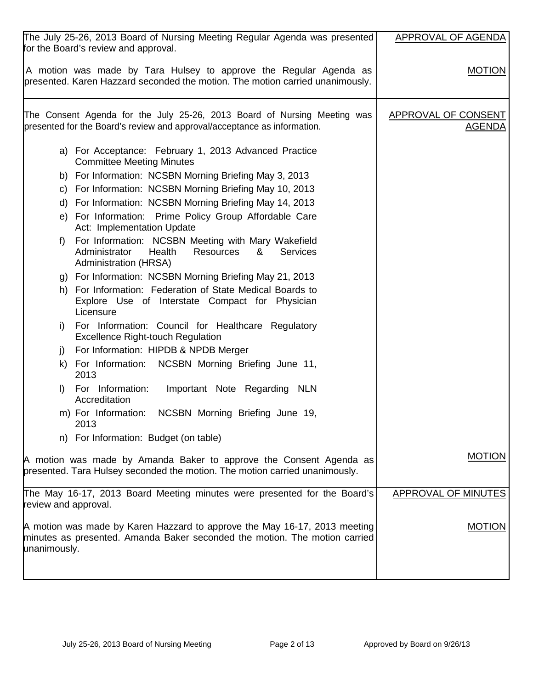|                      | The July 25-26, 2013 Board of Nursing Meeting Regular Agenda was presented<br>for the Board's review and approval.                                      | APPROVAL OF AGENDA                   |
|----------------------|---------------------------------------------------------------------------------------------------------------------------------------------------------|--------------------------------------|
|                      | A motion was made by Tara Hulsey to approve the Regular Agenda as<br>presented. Karen Hazzard seconded the motion. The motion carried unanimously.      | <b>MOTION</b>                        |
|                      | The Consent Agenda for the July 25-26, 2013 Board of Nursing Meeting was<br>presented for the Board's review and approval/acceptance as information.    | APPROVAL OF CONSENT<br><b>AGENDA</b> |
|                      | a) For Acceptance: February 1, 2013 Advanced Practice<br><b>Committee Meeting Minutes</b>                                                               |                                      |
|                      | b) For Information: NCSBN Morning Briefing May 3, 2013                                                                                                  |                                      |
|                      | c) For Information: NCSBN Morning Briefing May 10, 2013                                                                                                 |                                      |
|                      | d) For Information: NCSBN Morning Briefing May 14, 2013                                                                                                 |                                      |
|                      | e) For Information: Prime Policy Group Affordable Care<br>Act: Implementation Update                                                                    |                                      |
| f)                   | For Information: NCSBN Meeting with Mary Wakefield<br>Administrator<br>Health<br><b>Resources</b><br><b>Services</b><br>&<br>Administration (HRSA)      |                                      |
|                      | g) For Information: NCSBN Morning Briefing May 21, 2013                                                                                                 |                                      |
|                      | h) For Information: Federation of State Medical Boards to<br>Explore Use of Interstate Compact for Physician<br>Licensure                               |                                      |
| i)                   | For Information: Council for Healthcare Regulatory<br><b>Excellence Right-touch Regulation</b>                                                          |                                      |
| j)                   | For Information: HIPDB & NPDB Merger                                                                                                                    |                                      |
|                      | k) For Information: NCSBN Morning Briefing June 11,<br>2013                                                                                             |                                      |
| $\vert$              | For Information:<br>Important Note Regarding NLN<br>Accreditation                                                                                       |                                      |
|                      | m) For Information: NCSBN Morning Briefing June 19,<br>2013                                                                                             |                                      |
|                      | n) For Information: Budget (on table)                                                                                                                   |                                      |
|                      |                                                                                                                                                         | <b>MOTION</b>                        |
|                      | A motion was made by Amanda Baker to approve the Consent Agenda as<br>presented. Tara Hulsey seconded the motion. The motion carried unanimously.       |                                      |
| review and approval. | The May 16-17, 2013 Board Meeting minutes were presented for the Board's                                                                                | APPROVAL OF MINUTES                  |
| unanimously.         | A motion was made by Karen Hazzard to approve the May 16-17, 2013 meeting<br>minutes as presented. Amanda Baker seconded the motion. The motion carried | <b>MOTION</b>                        |
|                      |                                                                                                                                                         |                                      |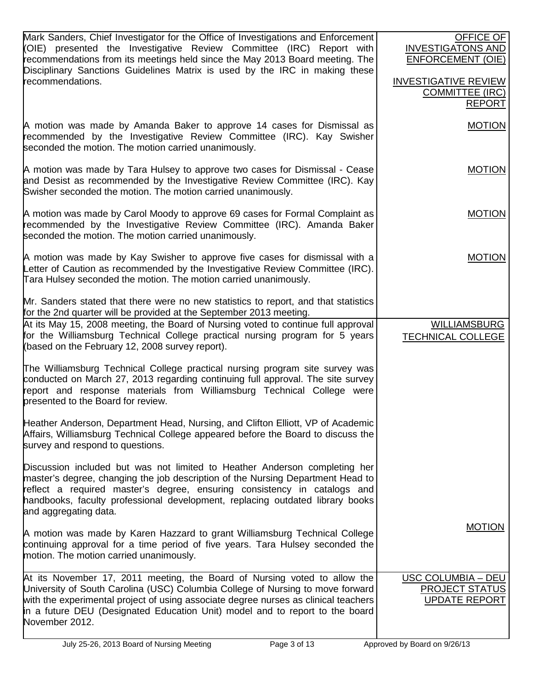| Mark Sanders, Chief Investigator for the Office of Investigations and Enforcement<br>(OIE) presented the Investigative Review Committee (IRC) Report with<br>recommendations from its meetings held since the May 2013 Board meeting. The<br>Disciplinary Sanctions Guidelines Matrix is used by the IRC in making these<br>recommendations.         | OFFICE OF<br><b>INVESTIGATONS AND</b><br><b>ENFORCEMENT (OIE)</b><br><b>INVESTIGATIVE REVIEW</b><br><b>COMMITTEE (IRC)</b><br><b>REPORT</b> |
|------------------------------------------------------------------------------------------------------------------------------------------------------------------------------------------------------------------------------------------------------------------------------------------------------------------------------------------------------|---------------------------------------------------------------------------------------------------------------------------------------------|
| A motion was made by Amanda Baker to approve 14 cases for Dismissal as<br>recommended by the Investigative Review Committee (IRC). Kay Swisher<br>seconded the motion. The motion carried unanimously.                                                                                                                                               | <b>MOTION</b>                                                                                                                               |
| A motion was made by Tara Hulsey to approve two cases for Dismissal - Cease<br>and Desist as recommended by the Investigative Review Committee (IRC). Kay<br>Swisher seconded the motion. The motion carried unanimously.                                                                                                                            | <b>MOTION</b>                                                                                                                               |
| A motion was made by Carol Moody to approve 69 cases for Formal Complaint as<br>recommended by the Investigative Review Committee (IRC). Amanda Baker<br>seconded the motion. The motion carried unanimously.                                                                                                                                        | <b>MOTION</b>                                                                                                                               |
| A motion was made by Kay Swisher to approve five cases for dismissal with a<br>Letter of Caution as recommended by the Investigative Review Committee (IRC).<br>Tara Hulsey seconded the motion. The motion carried unanimously.                                                                                                                     | <b>MOTION</b>                                                                                                                               |
| Mr. Sanders stated that there were no new statistics to report, and that statistics<br>for the 2nd quarter will be provided at the September 2013 meeting.                                                                                                                                                                                           |                                                                                                                                             |
| At its May 15, 2008 meeting, the Board of Nursing voted to continue full approval<br>for the Williamsburg Technical College practical nursing program for 5 years<br>(based on the February 12, 2008 survey report).                                                                                                                                 | WILLIAMSBURG<br><b>TECHNICAL COLLEGE</b>                                                                                                    |
| The Williamsburg Technical College practical nursing program site survey was<br>conducted on March 27, 2013 regarding continuing full approval. The site survey<br>report and response materials from Williamsburg Technical College were<br>bresented to the Board for review.                                                                      |                                                                                                                                             |
| Heather Anderson, Department Head, Nursing, and Clifton Elliott, VP of Academic<br>Affairs, Williamsburg Technical College appeared before the Board to discuss the<br>survey and respond to questions.                                                                                                                                              |                                                                                                                                             |
| Discussion included but was not limited to Heather Anderson completing her<br>master's degree, changing the job description of the Nursing Department Head to<br>reflect a required master's degree, ensuring consistency in catalogs and<br>handbooks, faculty professional development, replacing outdated library books<br>and aggregating data.  |                                                                                                                                             |
| A motion was made by Karen Hazzard to grant Williamsburg Technical College<br>continuing approval for a time period of five years. Tara Hulsey seconded the<br>motion. The motion carried unanimously.                                                                                                                                               | <b>MOTION</b>                                                                                                                               |
| At its November 17, 2011 meeting, the Board of Nursing voted to allow the<br>University of South Carolina (USC) Columbia College of Nursing to move forward<br>with the experimental project of using associate degree nurses as clinical teachers<br>in a future DEU (Designated Education Unit) model and to report to the board<br>November 2012. | USC COLUMBIA - DEU<br><b>PROJECT STATUS</b><br><b>UPDATE REPORT</b>                                                                         |
|                                                                                                                                                                                                                                                                                                                                                      |                                                                                                                                             |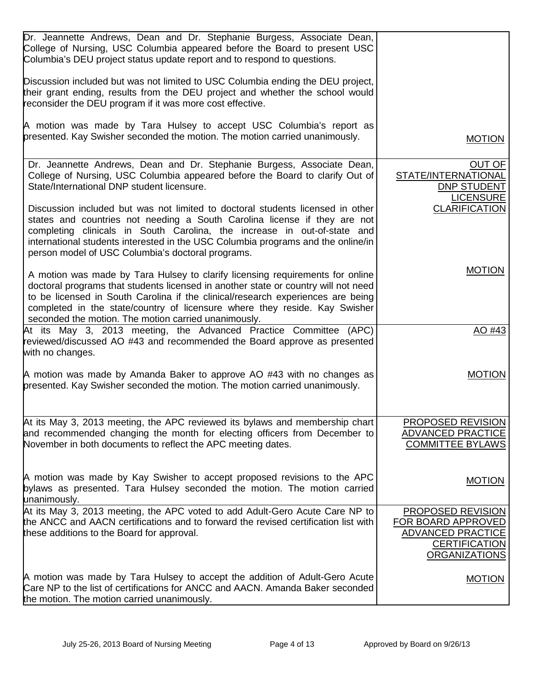| Dr. Jeannette Andrews, Dean and Dr. Stephanie Burgess, Associate Dean,<br>College of Nursing, USC Columbia appeared before the Board to present USC<br>Columbia's DEU project status update report and to respond to questions.                                                                                                                                                              |                                                                                                                                   |
|----------------------------------------------------------------------------------------------------------------------------------------------------------------------------------------------------------------------------------------------------------------------------------------------------------------------------------------------------------------------------------------------|-----------------------------------------------------------------------------------------------------------------------------------|
| Discussion included but was not limited to USC Columbia ending the DEU project,<br>their grant ending, results from the DEU project and whether the school would<br>reconsider the DEU program if it was more cost effective.                                                                                                                                                                |                                                                                                                                   |
| A motion was made by Tara Hulsey to accept USC Columbia's report as<br>presented. Kay Swisher seconded the motion. The motion carried unanimously.                                                                                                                                                                                                                                           | <b>MOTION</b>                                                                                                                     |
| Dr. Jeannette Andrews, Dean and Dr. Stephanie Burgess, Associate Dean,<br>College of Nursing, USC Columbia appeared before the Board to clarify Out of<br>State/International DNP student licensure.                                                                                                                                                                                         | OUT OF<br>STATE/INTERNATIONAL<br><b>DNP STUDENT</b><br><b>LICENSURE</b>                                                           |
| Discussion included but was not limited to doctoral students licensed in other<br>states and countries not needing a South Carolina license if they are not<br>completing clinicals in South Carolina, the increase in out-of-state and<br>international students interested in the USC Columbia programs and the online/in<br>person model of USC Columbia's doctoral programs.             | <b>CLARIFICATION</b>                                                                                                              |
| A motion was made by Tara Hulsey to clarify licensing requirements for online<br>doctoral programs that students licensed in another state or country will not need<br>to be licensed in South Carolina if the clinical/research experiences are being<br>completed in the state/country of licensure where they reside. Kay Swisher<br>seconded the motion. The motion carried unanimously. | <b>MOTION</b>                                                                                                                     |
| At its May 3, 2013 meeting, the Advanced Practice Committee (APC)<br>reviewed/discussed AO #43 and recommended the Board approve as presented<br>with no changes.                                                                                                                                                                                                                            | AO #43                                                                                                                            |
| A motion was made by Amanda Baker to approve AO #43 with no changes as<br>presented. Kay Swisher seconded the motion. The motion carried unanimously.                                                                                                                                                                                                                                        | <b>MOTION</b>                                                                                                                     |
| At its May 3, 2013 meeting, the APC reviewed its bylaws and membership chart<br>and recommended changing the month for electing officers from December to<br>November in both documents to reflect the APC meeting dates.                                                                                                                                                                    | <b>PROPOSED REVISION</b><br><b>ADVANCED PRACTICE</b><br><b>COMMITTEE BYLAWS</b>                                                   |
| A motion was made by Kay Swisher to accept proposed revisions to the APC<br>bylaws as presented. Tara Hulsey seconded the motion. The motion carried<br>unanimously.                                                                                                                                                                                                                         | <b>MOTION</b>                                                                                                                     |
| At its May 3, 2013 meeting, the APC voted to add Adult-Gero Acute Care NP to<br>the ANCC and AACN certifications and to forward the revised certification list with<br>these additions to the Board for approval.                                                                                                                                                                            | <b>PROPOSED REVISION</b><br><b>FOR BOARD APPROVED</b><br><b>ADVANCED PRACTICE</b><br><b>CERTIFICATION</b><br><b>ORGANIZATIONS</b> |
| A motion was made by Tara Hulsey to accept the addition of Adult-Gero Acute<br>Care NP to the list of certifications for ANCC and AACN. Amanda Baker seconded<br>the motion. The motion carried unanimously.                                                                                                                                                                                 | <b>MOTION</b>                                                                                                                     |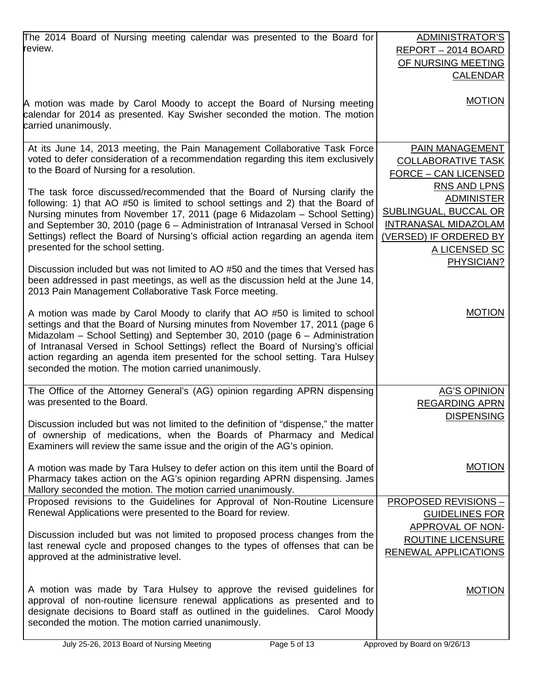| The 2014 Board of Nursing meeting calendar was presented to the Board for<br>review.                                                                                                                                                                                                                                                                                                                                                                                      | ADMINISTRATOR'S<br>REPORT - 2014 BOARD<br>OF NURSING MEETING<br><b>CALENDAR</b>                                                                    |
|---------------------------------------------------------------------------------------------------------------------------------------------------------------------------------------------------------------------------------------------------------------------------------------------------------------------------------------------------------------------------------------------------------------------------------------------------------------------------|----------------------------------------------------------------------------------------------------------------------------------------------------|
| A motion was made by Carol Moody to accept the Board of Nursing meeting<br>calendar for 2014 as presented. Kay Swisher seconded the motion. The motion<br>carried unanimously.                                                                                                                                                                                                                                                                                            | <b>MOTION</b>                                                                                                                                      |
| At its June 14, 2013 meeting, the Pain Management Collaborative Task Force<br>voted to defer consideration of a recommendation regarding this item exclusively<br>to the Board of Nursing for a resolution.                                                                                                                                                                                                                                                               | <b>PAIN MANAGEMENT</b><br><b>COLLABORATIVE TASK</b><br><b>FORCE - CAN LICENSED</b>                                                                 |
| The task force discussed/recommended that the Board of Nursing clarify the<br>following: 1) that AO #50 is limited to school settings and 2) that the Board of<br>Nursing minutes from November 17, 2011 (page 6 Midazolam - School Setting)<br>and September 30, 2010 (page 6 - Administration of Intranasal Versed in School<br>Settings) reflect the Board of Nursing's official action regarding an agenda item<br>presented for the school setting.                  | <b>RNS AND LPNS</b><br><b>ADMINISTER</b><br><b>SUBLINGUAL, BUCCAL OR</b><br><b>INTRANASAL MIDAZOLAM</b><br>(VERSED) IF ORDERED BY<br>A LICENSED SC |
| Discussion included but was not limited to AO #50 and the times that Versed has<br>been addressed in past meetings, as well as the discussion held at the June 14,<br>2013 Pain Management Collaborative Task Force meeting.                                                                                                                                                                                                                                              | PHYSICIAN?                                                                                                                                         |
| A motion was made by Carol Moody to clarify that AO #50 is limited to school<br>settings and that the Board of Nursing minutes from November 17, 2011 (page 6<br>Midazolam – School Setting) and September 30, 2010 (page 6 – Administration<br>of Intranasal Versed in School Settings) reflect the Board of Nursing's official<br>action regarding an agenda item presented for the school setting. Tara Hulsey<br>seconded the motion. The motion carried unanimously. | <b>MOTION</b>                                                                                                                                      |
| The Office of the Attorney General's (AG) opinion regarding APRN dispensing<br>was presented to the Board.                                                                                                                                                                                                                                                                                                                                                                | <b>AG'S OPINION</b><br><b>REGARDING APRN</b><br><b>DISPENSING</b>                                                                                  |
| Discussion included but was not limited to the definition of "dispense," the matter<br>of ownership of medications, when the Boards of Pharmacy and Medical<br>Examiners will review the same issue and the origin of the AG's opinion.                                                                                                                                                                                                                                   |                                                                                                                                                    |
| A motion was made by Tara Hulsey to defer action on this item until the Board of<br>Pharmacy takes action on the AG's opinion regarding APRN dispensing. James<br>Mallory seconded the motion. The motion carried unanimously.                                                                                                                                                                                                                                            | <b>MOTION</b>                                                                                                                                      |
| Proposed revisions to the Guidelines for Approval of Non-Routine Licensure<br>Renewal Applications were presented to the Board for review.                                                                                                                                                                                                                                                                                                                                | <b>PROPOSED REVISIONS -</b><br><b>GUIDELINES FOR</b>                                                                                               |
| Discussion included but was not limited to proposed process changes from the<br>last renewal cycle and proposed changes to the types of offenses that can be<br>approved at the administrative level.                                                                                                                                                                                                                                                                     | <b>APPROVAL OF NON-</b><br><b>ROUTINE LICENSURE</b><br>RENEWAL APPLICATIONS                                                                        |
| A motion was made by Tara Hulsey to approve the revised guidelines for<br>approval of non-routine licensure renewal applications as presented and to<br>designate decisions to Board staff as outlined in the guidelines. Carol Moody<br>seconded the motion. The motion carried unanimously.                                                                                                                                                                             | <b>MOTION</b>                                                                                                                                      |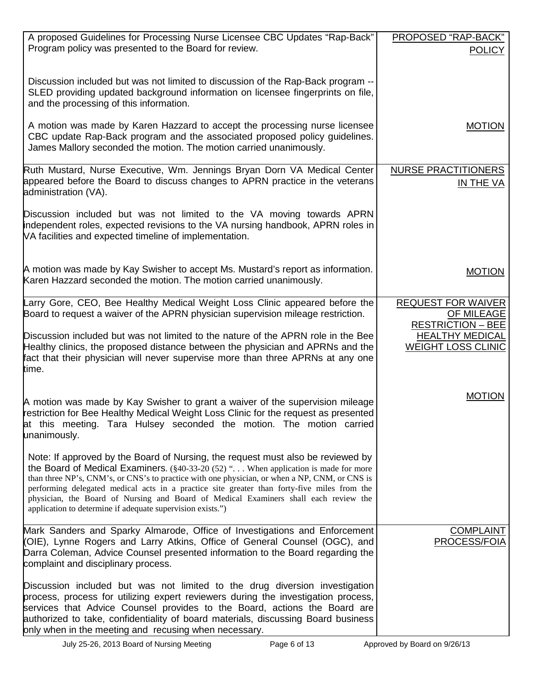| A proposed Guidelines for Processing Nurse Licensee CBC Updates "Rap-Back"<br>Program policy was presented to the Board for review.                                                                                                                                                                                                                                                                                                                                                                                                       | PROPOSED "RAP-BACK"<br><b>POLICY</b>                                                                                       |
|-------------------------------------------------------------------------------------------------------------------------------------------------------------------------------------------------------------------------------------------------------------------------------------------------------------------------------------------------------------------------------------------------------------------------------------------------------------------------------------------------------------------------------------------|----------------------------------------------------------------------------------------------------------------------------|
| Discussion included but was not limited to discussion of the Rap-Back program --<br>SLED providing updated background information on licensee fingerprints on file,<br>and the processing of this information.                                                                                                                                                                                                                                                                                                                            |                                                                                                                            |
| A motion was made by Karen Hazzard to accept the processing nurse licensee<br>CBC update Rap-Back program and the associated proposed policy guidelines.<br>James Mallory seconded the motion. The motion carried unanimously.                                                                                                                                                                                                                                                                                                            | <b>MOTION</b>                                                                                                              |
| Ruth Mustard, Nurse Executive, Wm. Jennings Bryan Dorn VA Medical Center<br>appeared before the Board to discuss changes to APRN practice in the veterans<br>administration (VA).                                                                                                                                                                                                                                                                                                                                                         | <b>NURSE PRACTITIONERS</b><br><b>IN THE VA</b>                                                                             |
| Discussion included but was not limited to the VA moving towards APRN<br>independent roles, expected revisions to the VA nursing handbook, APRN roles in<br>VA facilities and expected timeline of implementation.                                                                                                                                                                                                                                                                                                                        |                                                                                                                            |
| A motion was made by Kay Swisher to accept Ms. Mustard's report as information.<br>Karen Hazzard seconded the motion. The motion carried unanimously.                                                                                                                                                                                                                                                                                                                                                                                     | <b>MOTION</b>                                                                                                              |
| Larry Gore, CEO, Bee Healthy Medical Weight Loss Clinic appeared before the<br>Board to request a waiver of the APRN physician supervision mileage restriction.<br>Discussion included but was not limited to the nature of the APRN role in the Bee<br>Healthy clinics, the proposed distance between the physician and APRNs and the<br>fact that their physician will never supervise more than three APRNs at any one<br>time.                                                                                                        | <b>REQUEST FOR WAIVER</b><br>OF MILEAGE<br><b>RESTRICTION - BEE</b><br><b>HEALTHY MEDICAL</b><br><b>WEIGHT LOSS CLINIC</b> |
| A motion was made by Kay Swisher to grant a waiver of the supervision mileage<br>restriction for Bee Healthy Medical Weight Loss Clinic for the request as presented<br>at this meeting. Tara Hulsey seconded the motion. The motion carried<br>unanimously.                                                                                                                                                                                                                                                                              | <b>MOTION</b>                                                                                                              |
| Note: If approved by the Board of Nursing, the request must also be reviewed by<br>the Board of Medical Examiners. $(\frac{20.33}{20.33})$ (52) " When application is made for more<br>than three NP's, CNM's, or CNS's to practice with one physician, or when a NP, CNM, or CNS is<br>performing delegated medical acts in a practice site greater than forty-five miles from the<br>physician, the Board of Nursing and Board of Medical Examiners shall each review the<br>application to determine if adequate supervision exists.") |                                                                                                                            |
| Mark Sanders and Sparky Almarode, Office of Investigations and Enforcement<br>(OIE), Lynne Rogers and Larry Atkins, Office of General Counsel (OGC), and<br>Darra Coleman, Advice Counsel presented information to the Board regarding the<br>complaint and disciplinary process.                                                                                                                                                                                                                                                         | <b>COMPLAINT</b><br>PROCESS/FOIA                                                                                           |
| Discussion included but was not limited to the drug diversion investigation<br>process, process for utilizing expert reviewers during the investigation process,<br>services that Advice Counsel provides to the Board, actions the Board are<br>authorized to take, confidentiality of board materials, discussing Board business<br>only when in the meeting and recusing when necessary.                                                                                                                                               |                                                                                                                            |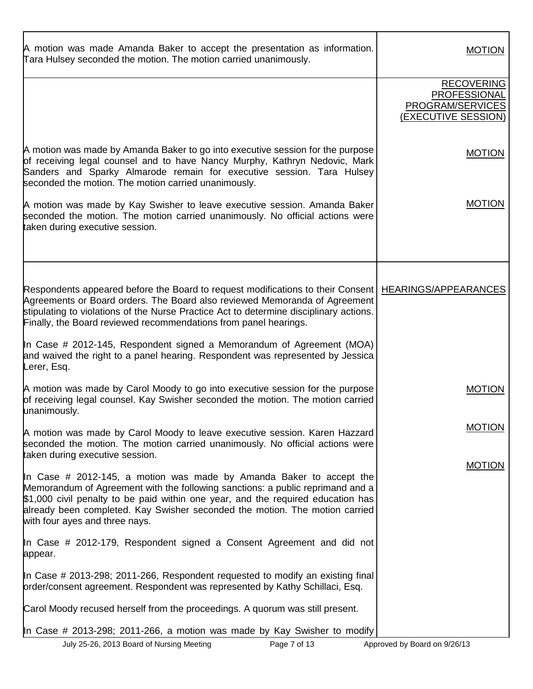| A motion was made Amanda Baker to accept the presentation as information.<br>Tara Hulsey seconded the motion. The motion carried unanimously.                                                                                                                                                                                                              | <b>MOTION</b>                                                                |
|------------------------------------------------------------------------------------------------------------------------------------------------------------------------------------------------------------------------------------------------------------------------------------------------------------------------------------------------------------|------------------------------------------------------------------------------|
|                                                                                                                                                                                                                                                                                                                                                            | <b>RECOVERING</b><br>PROFESSIONAL<br>PROGRAM/SERVICES<br>(EXECUTIVE SESSION) |
| A motion was made by Amanda Baker to go into executive session for the purpose<br>of receiving legal counsel and to have Nancy Murphy, Kathryn Nedovic, Mark<br>Sanders and Sparky Almarode remain for executive session. Tara Hulsey<br>seconded the motion. The motion carried unanimously.                                                              | <b>MOTION</b>                                                                |
| A motion was made by Kay Swisher to leave executive session. Amanda Baker<br>seconded the motion. The motion carried unanimously. No official actions were<br>taken during executive session.                                                                                                                                                              | <b>MOTION</b>                                                                |
|                                                                                                                                                                                                                                                                                                                                                            |                                                                              |
| Respondents appeared before the Board to request modifications to their Consent   HEARINGS/APPEARANCES<br>Agreements or Board orders. The Board also reviewed Memoranda of Agreement<br>stipulating to violations of the Nurse Practice Act to determine disciplinary actions.<br>Finally, the Board reviewed recommendations from panel hearings.         |                                                                              |
| In Case # 2012-145, Respondent signed a Memorandum of Agreement (MOA)<br>and waived the right to a panel hearing. Respondent was represented by Jessica<br>Lerer, Esq.                                                                                                                                                                                     |                                                                              |
| A motion was made by Carol Moody to go into executive session for the purpose<br>of receiving legal counsel. Kay Swisher seconded the motion. The motion carried<br>unanimously.                                                                                                                                                                           | MOTION                                                                       |
| A motion was made by Carol Moody to leave executive session. Karen Hazzard<br>seconded the motion. The motion carried unanimously. No official actions were<br>taken during executive session.                                                                                                                                                             | <b>MOTION</b>                                                                |
| In Case # 2012-145, a motion was made by Amanda Baker to accept the<br>Memorandum of Agreement with the following sanctions: a public reprimand and a<br>\$1,000 civil penalty to be paid within one year, and the required education has<br>already been completed. Kay Swisher seconded the motion. The motion carried<br>with four ayes and three nays. | <b>MOTION</b>                                                                |
| In Case # 2012-179, Respondent signed a Consent Agreement and did not<br>appear.                                                                                                                                                                                                                                                                           |                                                                              |
| In Case # 2013-298; 2011-266, Respondent requested to modify an existing final<br>order/consent agreement. Respondent was represented by Kathy Schillaci, Esq.                                                                                                                                                                                             |                                                                              |
| Carol Moody recused herself from the proceedings. A quorum was still present.                                                                                                                                                                                                                                                                              |                                                                              |
| In Case # 2013-298; 2011-266, a motion was made by Kay Swisher to modify                                                                                                                                                                                                                                                                                   |                                                                              |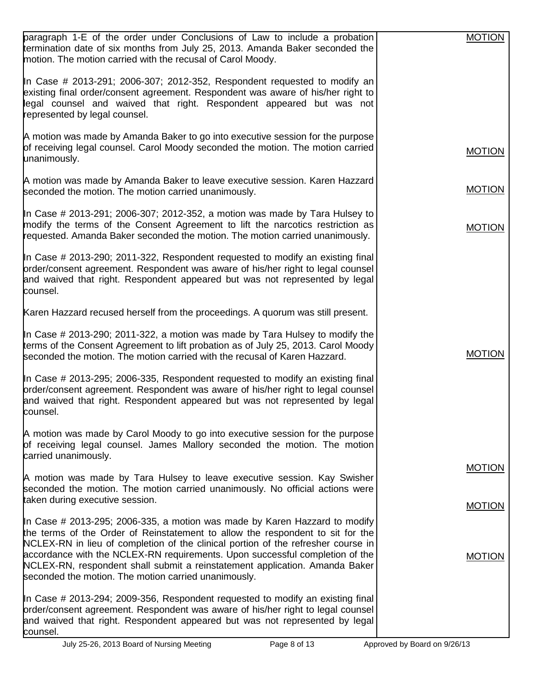| paragraph 1-E of the order under Conclusions of Law to include a probation<br>termination date of six months from July 25, 2013. Amanda Baker seconded the<br>motion. The motion carried with the recusal of Carol Moody.                                                                                                                                                                  | <b>MOTION</b> |
|--------------------------------------------------------------------------------------------------------------------------------------------------------------------------------------------------------------------------------------------------------------------------------------------------------------------------------------------------------------------------------------------|---------------|
| In Case # 2013-291; 2006-307; 2012-352, Respondent requested to modify an<br>existing final order/consent agreement. Respondent was aware of his/her right to<br>legal counsel and waived that right. Respondent appeared but was not<br>represented by legal counsel.                                                                                                                     |               |
| A motion was made by Amanda Baker to go into executive session for the purpose<br>of receiving legal counsel. Carol Moody seconded the motion. The motion carried<br>unanimously.                                                                                                                                                                                                          | <b>MOTION</b> |
| A motion was made by Amanda Baker to leave executive session. Karen Hazzard<br>seconded the motion. The motion carried unanimously.                                                                                                                                                                                                                                                        | <b>MOTION</b> |
| In Case # 2013-291; 2006-307; 2012-352, a motion was made by Tara Hulsey to<br>modify the terms of the Consent Agreement to lift the narcotics restriction as<br>requested. Amanda Baker seconded the motion. The motion carried unanimously.                                                                                                                                              | <b>MOTION</b> |
| In Case # 2013-290; 2011-322, Respondent requested to modify an existing final<br>order/consent agreement. Respondent was aware of his/her right to legal counsel<br>and waived that right. Respondent appeared but was not represented by legal<br>counsel.                                                                                                                               |               |
| Karen Hazzard recused herself from the proceedings. A quorum was still present.                                                                                                                                                                                                                                                                                                            |               |
| In Case # 2013-290; 2011-322, a motion was made by Tara Hulsey to modify the<br>terms of the Consent Agreement to lift probation as of July 25, 2013. Carol Moody<br>seconded the motion. The motion carried with the recusal of Karen Hazzard.                                                                                                                                            | <b>MOTION</b> |
| In Case # 2013-295; 2006-335, Respondent requested to modify an existing final<br>order/consent agreement. Respondent was aware of his/her right to legal counsel<br>and waived that right. Respondent appeared but was not represented by legal<br>counsel.                                                                                                                               |               |
| A motion was made by Carol Moody to go into executive session for the purpose<br>of receiving legal counsel. James Mallory seconded the motion. The motion<br>carried unanimously.                                                                                                                                                                                                         |               |
| A motion was made by Tara Hulsey to leave executive session. Kay Swisher<br>seconded the motion. The motion carried unanimously. No official actions were<br>taken during executive session.                                                                                                                                                                                               | <b>MOTION</b> |
| In Case # 2013-295; 2006-335, a motion was made by Karen Hazzard to modify                                                                                                                                                                                                                                                                                                                 | <b>MOTION</b> |
| the terms of the Order of Reinstatement to allow the respondent to sit for the<br>NCLEX-RN in lieu of completion of the clinical portion of the refresher course in<br>accordance with the NCLEX-RN requirements. Upon successful completion of the<br>NCLEX-RN, respondent shall submit a reinstatement application. Amanda Baker<br>seconded the motion. The motion carried unanimously. | <b>MOTION</b> |
| In Case # 2013-294; 2009-356, Respondent requested to modify an existing final<br>order/consent agreement. Respondent was aware of his/her right to legal counsel<br>and waived that right. Respondent appeared but was not represented by legal<br>counsel.                                                                                                                               |               |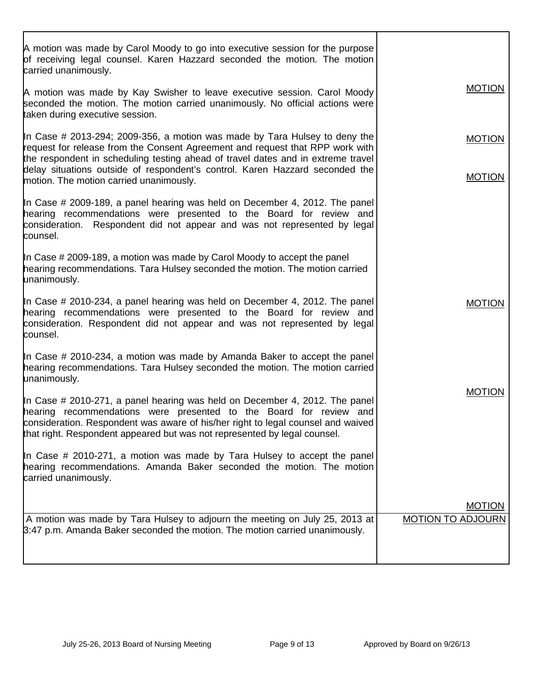| A motion was made by Carol Moody to go into executive session for the purpose<br>of receiving legal counsel. Karen Hazzard seconded the motion. The motion<br>carried unanimously.                                                                                                                                 |                   |
|--------------------------------------------------------------------------------------------------------------------------------------------------------------------------------------------------------------------------------------------------------------------------------------------------------------------|-------------------|
| A motion was made by Kay Swisher to leave executive session. Carol Moody<br>seconded the motion. The motion carried unanimously. No official actions were<br>taken during executive session.                                                                                                                       | <b>MOTION</b>     |
| In Case # 2013-294; 2009-356, a motion was made by Tara Hulsey to deny the<br>request for release from the Consent Agreement and request that RPP work with<br>the respondent in scheduling testing ahead of travel dates and in extreme travel                                                                    | <b>MOTION</b>     |
| delay situations outside of respondent's control. Karen Hazzard seconded the<br>motion. The motion carried unanimously.                                                                                                                                                                                            | <b>MOTION</b>     |
| In Case # 2009-189, a panel hearing was held on December 4, 2012. The panel<br>hearing recommendations were presented to the Board for review and<br>consideration. Respondent did not appear and was not represented by legal<br>counsel.                                                                         |                   |
| In Case # 2009-189, a motion was made by Carol Moody to accept the panel<br>hearing recommendations. Tara Hulsey seconded the motion. The motion carried<br>unanimously.                                                                                                                                           |                   |
| In Case # 2010-234, a panel hearing was held on December 4, 2012. The panel<br>hearing recommendations were presented to the Board for review and<br>consideration. Respondent did not appear and was not represented by legal<br>counsel.                                                                         | <b>MOTION</b>     |
| In Case # 2010-234, a motion was made by Amanda Baker to accept the panel<br>hearing recommendations. Tara Hulsey seconded the motion. The motion carried<br>unanimously.                                                                                                                                          |                   |
| In Case # 2010-271, a panel hearing was held on December 4, 2012. The panel<br>hearing recommendations were presented to the Board for review and<br>consideration. Respondent was aware of his/her right to legal counsel and waived<br>that right. Respondent appeared but was not represented by legal counsel. | <b>MOTION</b>     |
| In Case # 2010-271, a motion was made by Tara Hulsey to accept the panel<br>hearing recommendations. Amanda Baker seconded the motion. The motion<br>carried unanimously.                                                                                                                                          |                   |
|                                                                                                                                                                                                                                                                                                                    | <b>MOTION</b>     |
| A motion was made by Tara Hulsey to adjourn the meeting on July 25, 2013 at<br>3:47 p.m. Amanda Baker seconded the motion. The motion carried unanimously.                                                                                                                                                         | MOTION TO ADJOURN |
|                                                                                                                                                                                                                                                                                                                    |                   |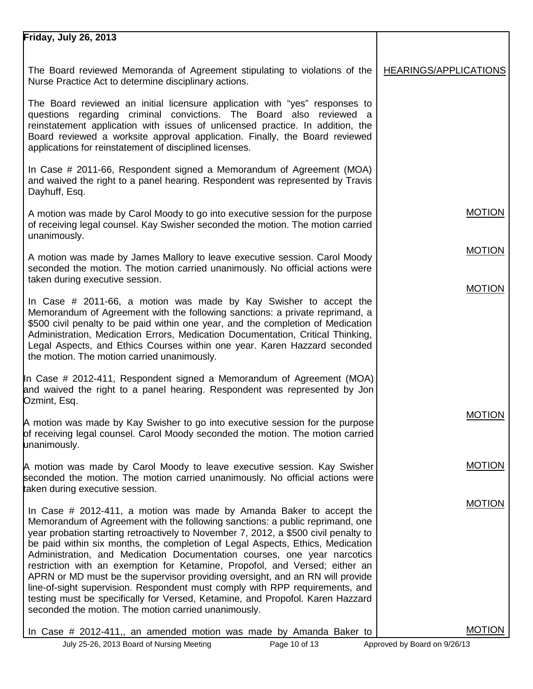## **Friday, July 26, 2013**

The Board reviewed Memoranda of Agreement stipulating to violations of the Nurse Practice Act to determine disciplinary actions. HEARINGS/APPLICATIONS

The Board reviewed an initial licensure application with "yes" responses to questions regarding criminal convictions. The Board also reviewed a reinstatement application with issues of unlicensed practice. In addition, the Board reviewed a worksite approval application. Finally, the Board reviewed applications for reinstatement of disciplined licenses.

In Case # 2011-66, Respondent signed a Memorandum of Agreement (MOA) and waived the right to a panel hearing. Respondent was represented by Travis Dayhuff, Esq.

A motion was made by Carol Moody to go into executive session for the purpose of receiving legal counsel. Kay Swisher seconded the motion. The motion carried unanimously.

A motion was made by James Mallory to leave executive session. Carol Moody seconded the motion. The motion carried unanimously. No official actions were taken during executive session.

In Case # 2011-66, a motion was made by Kay Swisher to accept the Memorandum of Agreement with the following sanctions: a private reprimand, a \$500 civil penalty to be paid within one year, and the completion of Medication Administration, Medication Errors, Medication Documentation, Critical Thinking, Legal Aspects, and Ethics Courses within one year. Karen Hazzard seconded the motion. The motion carried unanimously.

In Case # 2012-411, Respondent signed a Memorandum of Agreement (MOA) and waived the right to a panel hearing. Respondent was represented by Jon Ozmint, Esq.

A motion was made by Kay Swisher to go into executive session for the purpose of receiving legal counsel. Carol Moody seconded the motion. The motion carried unanimously.

A motion was made by Carol Moody to leave executive session. Kay Swisher seconded the motion. The motion carried unanimously. No official actions were taken during executive session.

In Case # 2012-411, a motion was made by Amanda Baker to accept the Memorandum of Agreement with the following sanctions: a public reprimand, one year probation starting retroactively to November 7, 2012, a \$500 civil penalty to be paid within six months, the completion of Legal Aspects, Ethics, Medication Administration, and Medication Documentation courses, one year narcotics restriction with an exemption for Ketamine, Propofol, and Versed; either an APRN or MD must be the supervisor providing oversight, and an RN will provide line-of-sight supervision. Respondent must comply with RPP requirements, and testing must be specifically for Versed, Ketamine, and Propofol. Karen Hazzard seconded the motion. The motion carried unanimously.

In Case # 2012-411,, an amended motion was made by Amanda Baker to

MOTION

MOTION

MOTION

MOTION

MOTION

MOTION

MOTION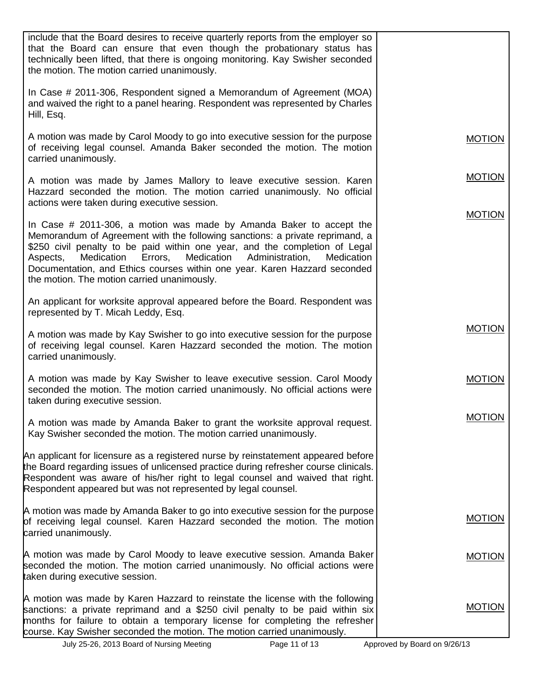| include that the Board desires to receive quarterly reports from the employer so<br>that the Board can ensure that even though the probationary status has<br>technically been lifted, that there is ongoing monitoring. Kay Swisher seconded<br>the motion. The motion carried unanimously.                                                                                                                                                         |               |
|------------------------------------------------------------------------------------------------------------------------------------------------------------------------------------------------------------------------------------------------------------------------------------------------------------------------------------------------------------------------------------------------------------------------------------------------------|---------------|
| In Case # 2011-306, Respondent signed a Memorandum of Agreement (MOA)<br>and waived the right to a panel hearing. Respondent was represented by Charles<br>Hill, Esq.                                                                                                                                                                                                                                                                                |               |
| A motion was made by Carol Moody to go into executive session for the purpose<br>of receiving legal counsel. Amanda Baker seconded the motion. The motion<br>carried unanimously.                                                                                                                                                                                                                                                                    | <b>MOTION</b> |
| A motion was made by James Mallory to leave executive session. Karen<br>Hazzard seconded the motion. The motion carried unanimously. No official<br>actions were taken during executive session.                                                                                                                                                                                                                                                     | <b>MOTION</b> |
| In Case $#$ 2011-306, a motion was made by Amanda Baker to accept the<br>Memorandum of Agreement with the following sanctions: a private reprimand, a<br>\$250 civil penalty to be paid within one year, and the completion of Legal<br>Medication<br>Medication<br>Administration,<br>Aspects,<br>Errors,<br>Medication<br>Documentation, and Ethics courses within one year. Karen Hazzard seconded<br>the motion. The motion carried unanimously. | <b>MOTION</b> |
| An applicant for worksite approval appeared before the Board. Respondent was<br>represented by T. Micah Leddy, Esq.                                                                                                                                                                                                                                                                                                                                  |               |
| A motion was made by Kay Swisher to go into executive session for the purpose<br>of receiving legal counsel. Karen Hazzard seconded the motion. The motion<br>carried unanimously.                                                                                                                                                                                                                                                                   | <b>MOTION</b> |
| A motion was made by Kay Swisher to leave executive session. Carol Moody<br>seconded the motion. The motion carried unanimously. No official actions were<br>taken during executive session.                                                                                                                                                                                                                                                         | <b>MOTION</b> |
| A motion was made by Amanda Baker to grant the worksite approval request.<br>Kay Swisher seconded the motion. The motion carried unanimously.                                                                                                                                                                                                                                                                                                        | <b>MOTION</b> |
| An applicant for licensure as a registered nurse by reinstatement appeared before<br>the Board regarding issues of unlicensed practice during refresher course clinicals.<br>Respondent was aware of his/her right to legal counsel and waived that right.<br>Respondent appeared but was not represented by legal counsel.                                                                                                                          |               |
| A motion was made by Amanda Baker to go into executive session for the purpose<br>of receiving legal counsel. Karen Hazzard seconded the motion. The motion<br>carried unanimously.                                                                                                                                                                                                                                                                  | <b>MOTION</b> |
| A motion was made by Carol Moody to leave executive session. Amanda Baker<br>seconded the motion. The motion carried unanimously. No official actions were<br>taken during executive session.                                                                                                                                                                                                                                                        | <b>MOTION</b> |
| A motion was made by Karen Hazzard to reinstate the license with the following<br>sanctions: a private reprimand and a \$250 civil penalty to be paid within six<br>months for failure to obtain a temporary license for completing the refresher<br>course. Kay Swisher seconded the motion. The motion carried unanimously.                                                                                                                        | <b>MOTION</b> |